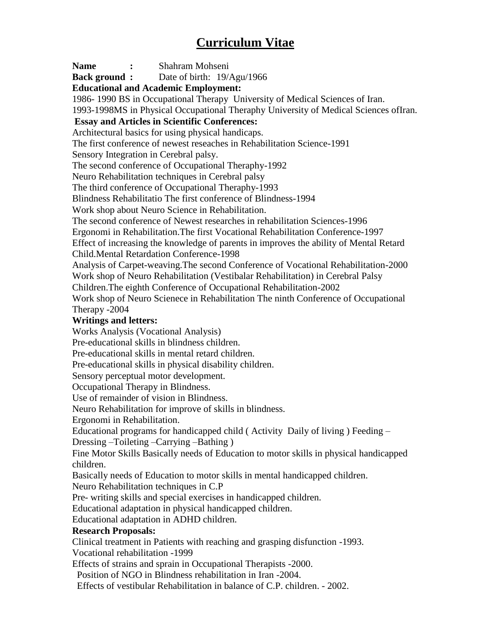## **Curriculum Vitae**

**Name :** Shahram Mohseni **Back ground :** Date of birth: 19/Agu/1966 **Educational and Academic Employment:** 1986- 1990 BS in Occupational Therapy University of Medical Sciences of Iran. 1993-1998MS in Physical Occupational Theraphy University of Medical Sciences ofIran. **Essay and Articles in Scientific Conferences:** Architectural basics for using physical handicaps. The first conference of newest reseaches in Rehabilitation Science-1991 Sensory Integration in Cerebral palsy. The second conference of Occupational Theraphy-1992 Neuro Rehabilitation techniques in Cerebral palsy The third conference of Occupational Theraphy-1993 Blindness Rehabilitatio The first conference of Blindness-1994 Work shop about Neuro Science in Rehabilitation. The second conference of Newest researches in rehabilitation Sciences-1996 Ergonomi in Rehabilitation.The first Vocational Rehabilitation Conference-1997 Effect of increasing the knowledge of parents in improves the ability of Mental Retard Child.Mental Retardation Conference-1998 Analysis of Carpet-weaving.The second Conference of Vocational Rehabilitation-2000 Work shop of Neuro Rehabilitation (Vestibalar Rehabilitation) in Cerebral Palsy Children.The eighth Conference of Occupational Rehabilitation-2002 Work shop of Neuro Scienece in Rehabilitation The ninth Conference of Occupational Therapy -2004 **Writings and letters:** Works Analysis (Vocational Analysis) Pre-educational skills in blindness children. Pre-educational skills in mental retard children. Pre-educational skills in physical disability children. Sensory perceptual motor development. Occupational Therapy in Blindness. Use of remainder of vision in Blindness. Neuro Rehabilitation for improve of skills in blindness. Ergonomi in Rehabilitation. Educational programs for handicapped child ( Activity Daily of living ) Feeding – Dressing –Toileting –Carrying –Bathing ) Fine Motor Skills Basically needs of Education to motor skills in physical handicapped children. Basically needs of Education to motor skills in mental handicapped children. Neuro Rehabilitation techniques in C.P Pre- writing skills and special exercises in handicapped children. Educational adaptation in physical handicapped children. Educational adaptation in ADHD children. **Research Proposals:** Clinical treatment in Patients with reaching and grasping disfunction -1993. Vocational rehabilitation -1999 Effects of strains and sprain in Occupational Therapists -2000. Position of NGO in Blindness rehabilitation in Iran -2004.

Effects of vestibular Rehabilitation in balance of C.P. children. - 2002.